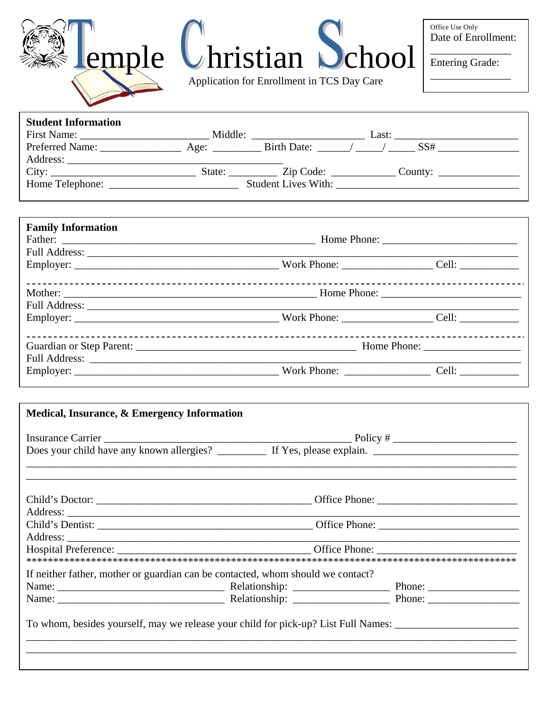| emple                      | Office Use Only<br>Date of Enrollment:<br>Christian Chool<br><b>Entering Grade:</b><br>Application for Enrollment in TCS Day Care |
|----------------------------|-----------------------------------------------------------------------------------------------------------------------------------|
| <b>Student Information</b> |                                                                                                                                   |
|                            | First Name: Last: Last:                                                                                                           |
|                            |                                                                                                                                   |
|                            |                                                                                                                                   |
|                            |                                                                                                                                   |
|                            | <b>Student Lives With:</b>                                                                                                        |

| <b>Family Information</b> |  |
|---------------------------|--|
|                           |  |
|                           |  |
|                           |  |
|                           |  |
|                           |  |

| If neither father, mother or guardian can be contacted, whom should we contact? |                                                                                                               |  |  |
|---------------------------------------------------------------------------------|---------------------------------------------------------------------------------------------------------------|--|--|
|                                                                                 |                                                                                                               |  |  |
|                                                                                 |                                                                                                               |  |  |
|                                                                                 | To whom, besides yourself, may we release your child for pick-up? List Full Names: __________________________ |  |  |